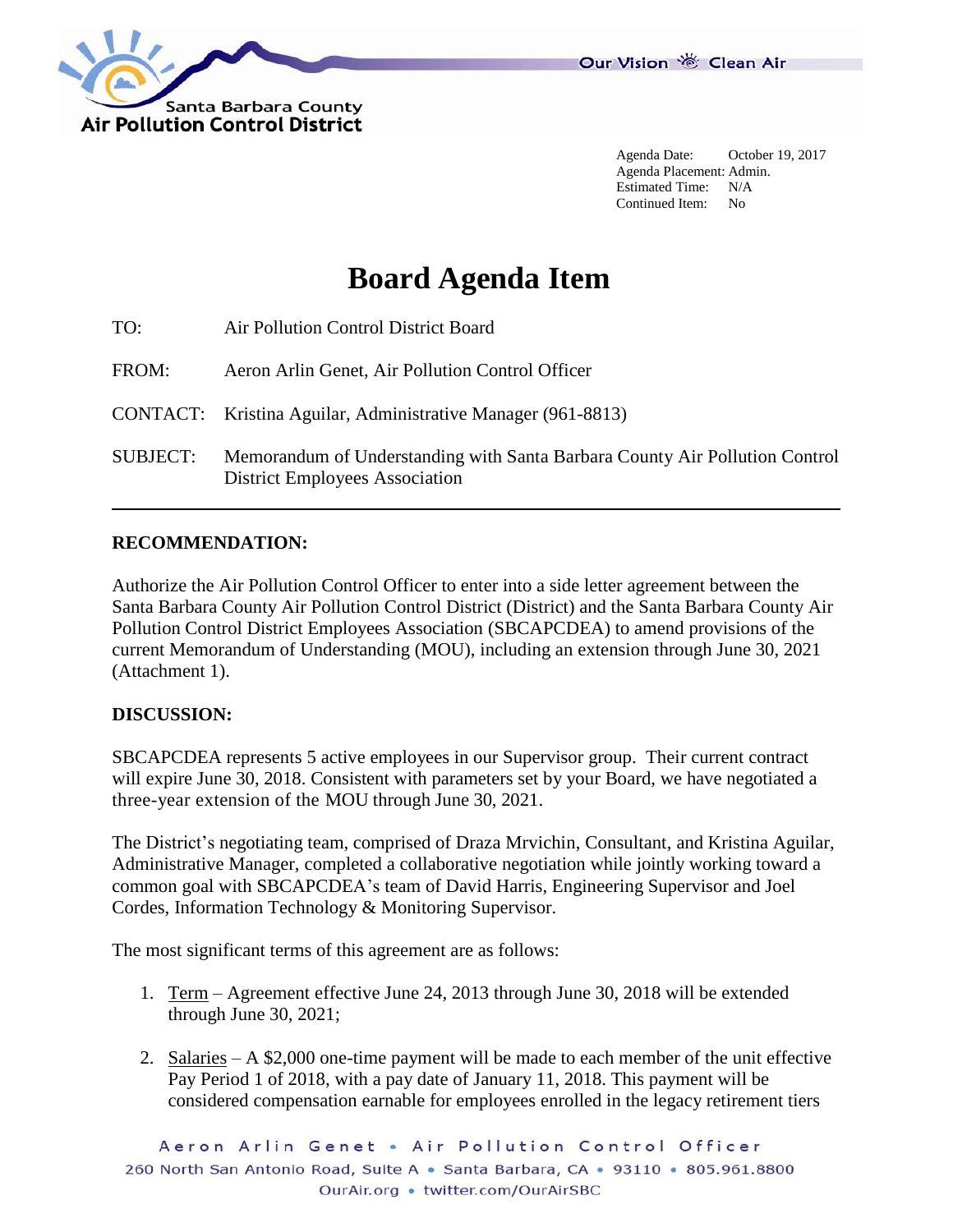

Agenda Date: October 19, 2017 Agenda Placement: Admin. Estimated Time: N/A Continued Item: No

# **Board Agenda Item**

| TO:             | Air Pollution Control District Board                                                                                 |
|-----------------|----------------------------------------------------------------------------------------------------------------------|
| FROM:           | Aeron Arlin Genet, Air Pollution Control Officer                                                                     |
|                 | CONTACT: Kristina Aguilar, Administrative Manager (961-8813)                                                         |
| <b>SUBJECT:</b> | Memorandum of Understanding with Santa Barbara County Air Pollution Control<br><b>District Employees Association</b> |

### **RECOMMENDATION:**

Authorize the Air Pollution Control Officer to enter into a side letter agreement between the Santa Barbara County Air Pollution Control District (District) and the Santa Barbara County Air Pollution Control District Employees Association (SBCAPCDEA) to amend provisions of the current Memorandum of Understanding (MOU), including an extension through June 30, 2021 (Attachment 1).

#### **DISCUSSION:**

SBCAPCDEA represents 5 active employees in our Supervisor group. Their current contract will expire June 30, 2018. Consistent with parameters set by your Board, we have negotiated a three-year extension of the MOU through June 30, 2021.

The District's negotiating team, comprised of Draza Mrvichin, Consultant, and Kristina Aguilar, Administrative Manager, completed a collaborative negotiation while jointly working toward a common goal with SBCAPCDEA's team of David Harris, Engineering Supervisor and Joel Cordes, Information Technology & Monitoring Supervisor.

The most significant terms of this agreement are as follows:

- 1. Term Agreement effective June 24, 2013 through June 30, 2018 will be extended through June 30, 2021;
- 2. Salaries A \$2,000 one-time payment will be made to each member of the unit effective Pay Period 1 of 2018, with a pay date of January 11, 2018. This payment will be considered compensation earnable for employees enrolled in the legacy retirement tiers

Aeron Arlin Genet . Air Pollution Control Officer 260 North San Antonio Road, Suite A · Santa Barbara, CA · 93110 · 805.961.8800 OurAir.org • twitter.com/OurAirSBC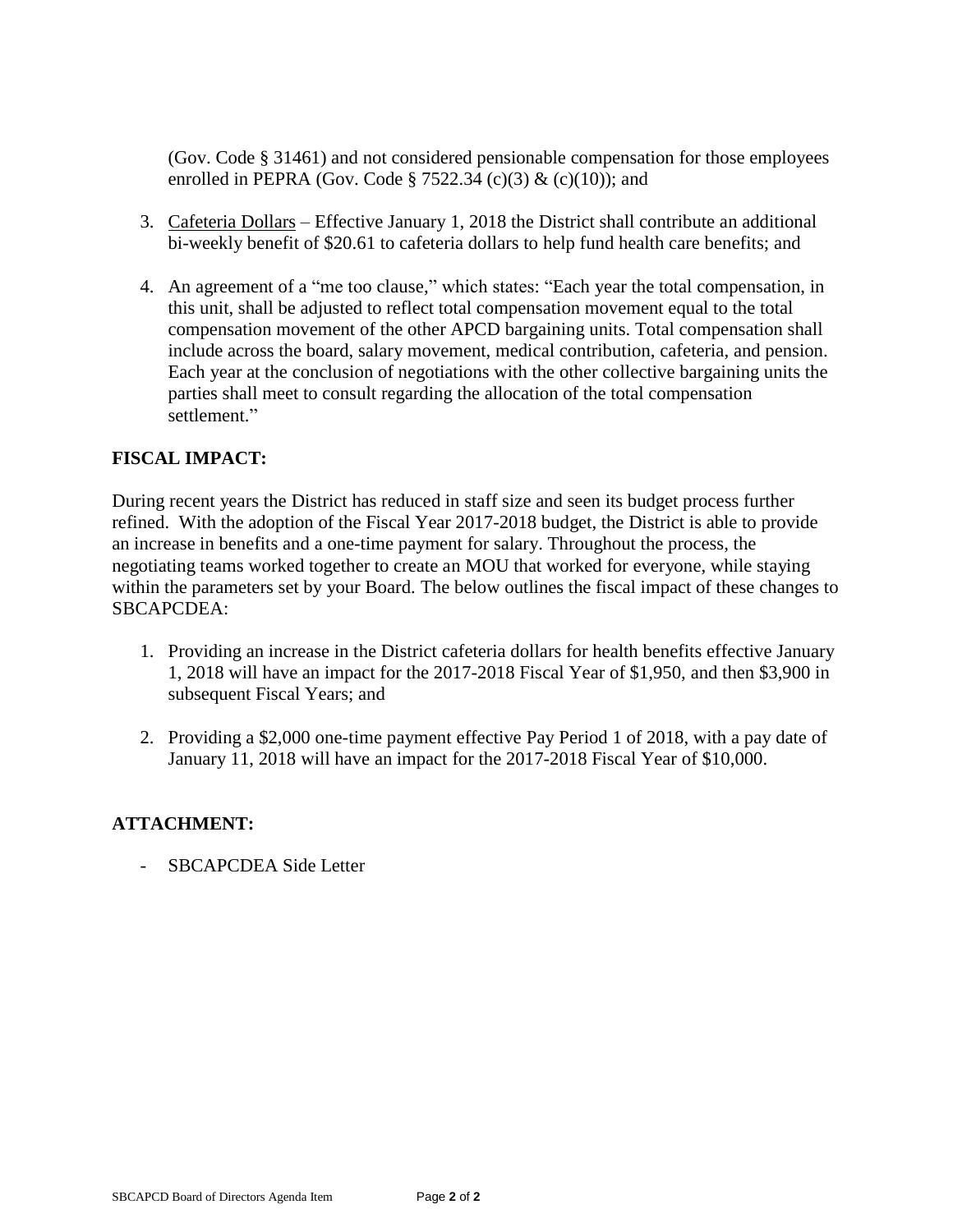(Gov. Code § 31461) and not considered pensionable compensation for those employees enrolled in PEPRA (Gov. Code § 7522.34 (c)(3) & (c)(10)); and

- 3. Cafeteria Dollars Effective January 1, 2018 the District shall contribute an additional bi-weekly benefit of \$20.61 to cafeteria dollars to help fund health care benefits; and
- 4. An agreement of a "me too clause," which states: "Each year the total compensation, in this unit, shall be adjusted to reflect total compensation movement equal to the total compensation movement of the other APCD bargaining units. Total compensation shall include across the board, salary movement, medical contribution, cafeteria, and pension. Each year at the conclusion of negotiations with the other collective bargaining units the parties shall meet to consult regarding the allocation of the total compensation settlement."

## **FISCAL IMPACT:**

During recent years the District has reduced in staff size and seen its budget process further refined. With the adoption of the Fiscal Year 2017-2018 budget, the District is able to provide an increase in benefits and a one-time payment for salary. Throughout the process, the negotiating teams worked together to create an MOU that worked for everyone, while staying within the parameters set by your Board. The below outlines the fiscal impact of these changes to SBCAPCDEA:

- 1. Providing an increase in the District cafeteria dollars for health benefits effective January 1, 2018 will have an impact for the 2017-2018 Fiscal Year of \$1,950, and then \$3,900 in subsequent Fiscal Years; and
- 2. Providing a \$2,000 one-time payment effective Pay Period 1 of 2018, with a pay date of January 11, 2018 will have an impact for the 2017-2018 Fiscal Year of \$10,000.

## **ATTACHMENT:**

SBCAPCDEA Side Letter